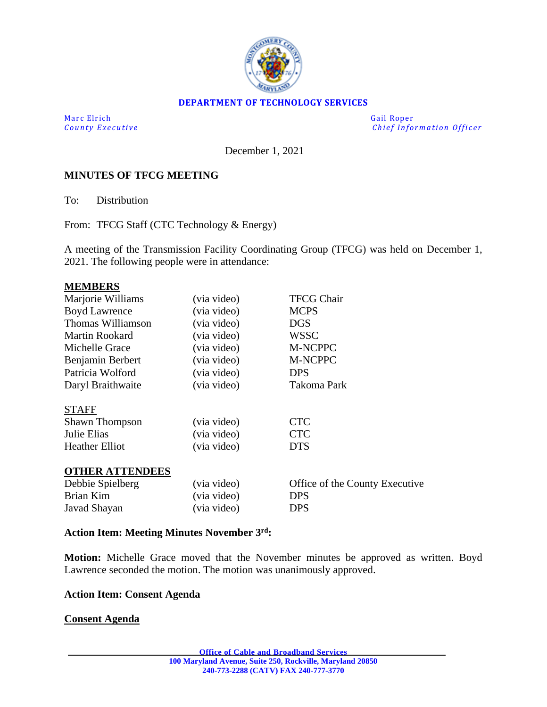

## **DEPARTMENT OF TECHNOLOGY SERVICES**

Marc Elrich Gail Roper

*County Executive* **Executive** *County Executive Chief Information Officer* 

December 1, 2021

## **MINUTES OF TFCG MEETING**

To: Distribution

From: TFCG Staff (CTC Technology & Energy)

A meeting of the Transmission Facility Coordinating Group (TFCG) was held on December 1, 2021. The following people were in attendance:

#### **MEMBERS**

| Marjorie Williams      | (via video) | <b>TFCG Chair</b>              |
|------------------------|-------------|--------------------------------|
| <b>Boyd Lawrence</b>   | (via video) | <b>MCPS</b>                    |
| Thomas Williamson      | (via video) | <b>DGS</b>                     |
| <b>Martin Rookard</b>  | (via video) | <b>WSSC</b>                    |
| Michelle Grace         | (via video) | M-NCPPC                        |
| Benjamin Berbert       | (via video) | M-NCPPC                        |
| Patricia Wolford       | (via video) | <b>DPS</b>                     |
| Daryl Braithwaite      | (via video) | Takoma Park                    |
| <b>STAFF</b>           |             |                                |
| <b>Shawn Thompson</b>  | (via video) | <b>CTC</b>                     |
| Julie Elias            | (via video) | <b>CTC</b>                     |
| <b>Heather Elliot</b>  | (via video) | <b>DTS</b>                     |
| <b>OTHER ATTENDEES</b> |             |                                |
| Debbie Spielberg       | (via video) | Office of the County Executive |
| Brian Kim              | (via video) | <b>DPS</b>                     |
| Javad Shayan           | (via video) | <b>DPS</b>                     |
|                        |             |                                |

#### **Action Item: Meeting Minutes November 3 rd:**

**Motion:** Michelle Grace moved that the November minutes be approved as written. Boyd Lawrence seconded the motion. The motion was unanimously approved.

### **Action Item: Consent Agenda**

**Consent Agenda**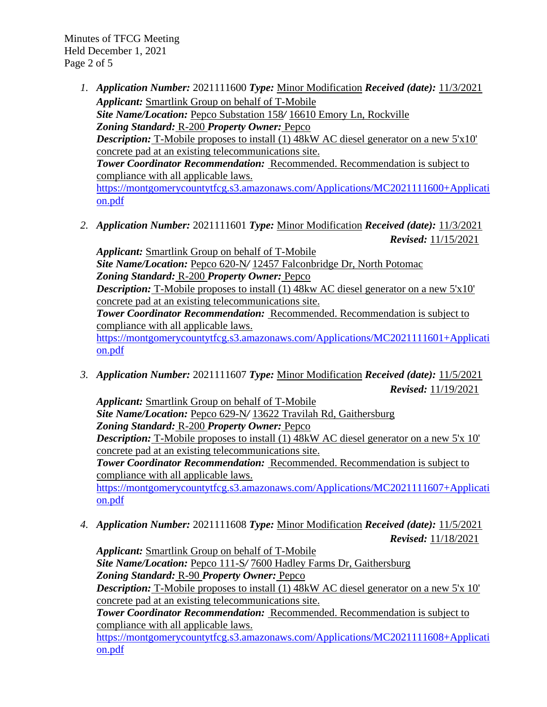Minutes of TFCG Meeting Held December 1, 2021 Page 2 of 5

- *1. Application Number:* 2021111600 *Type:* Minor Modification *Received (date):* 11/3/2021 *Applicant:* Smartlink Group on behalf of T-Mobile *Site Name/Location:* Pepco Substation 158*/* 16610 Emory Ln, Rockville *Zoning Standard:* R-200 *Property Owner:* Pepco *Description:* T-Mobile proposes to install (1) 48kW AC diesel generator on a new 5'x10' concrete pad at an existing telecommunications site. *Tower Coordinator Recommendation:* Recommended. Recommendation is subject to compliance with all applicable laws. [https://montgomerycountytfcg.s3.amazonaws.com/Applications/MC2021111600+Applicati](https://montgomerycountytfcg.s3.amazonaws.com/Applications/MC2021111600+Application.pdf) [on.pdf](https://montgomerycountytfcg.s3.amazonaws.com/Applications/MC2021111600+Application.pdf)
- *2. Application Number:* 2021111601 *Type:* Minor Modification *Received (date):* 11/3/2021 *Revised:* 11/15/2021

*Applicant:* Smartlink Group on behalf of T-Mobile *Site Name/Location:* Pepco 620-N*/* 12457 Falconbridge Dr, North Potomac *Zoning Standard:* R-200 *Property Owner:* Pepco *Description:* T-Mobile proposes to install (1) 48kw AC diesel generator on a new 5'x10' concrete pad at an existing telecommunications site. *Tower Coordinator Recommendation:* Recommended. Recommendation is subject to compliance with all applicable laws. [https://montgomerycountytfcg.s3.amazonaws.com/Applications/MC2021111601+Applicati](https://montgomerycountytfcg.s3.amazonaws.com/Applications/MC2021111601+Application.pdf) [on.pdf](https://montgomerycountytfcg.s3.amazonaws.com/Applications/MC2021111601+Application.pdf)

*3. Application Number:* 2021111607 *Type:* Minor Modification *Received (date):* 11/5/2021 *Revised:* 11/19/2021

*Applicant:* Smartlink Group on behalf of T-Mobile *Site Name/Location:* Pepco 629-N*/* 13622 Travilah Rd, Gaithersburg *Zoning Standard:* R-200 *Property Owner:* Pepco **Description:** T-Mobile proposes to install (1) 48kW AC diesel generator on a new 5'x 10' concrete pad at an existing telecommunications site. *Tower Coordinator Recommendation:* Recommended. Recommendation is subject to compliance with all applicable laws.

[https://montgomerycountytfcg.s3.amazonaws.com/Applications/MC2021111607+Applicati](https://montgomerycountytfcg.s3.amazonaws.com/Applications/MC2021111607+Application.pdf) [on.pdf](https://montgomerycountytfcg.s3.amazonaws.com/Applications/MC2021111607+Application.pdf)

*4. Application Number:* 2021111608 *Type:* Minor Modification *Received (date):* 11/5/2021 *Revised:* 11/18/2021

*Applicant:* Smartlink Group on behalf of T-Mobile *Site Name/Location:* Pepco 111-S*/* 7600 Hadley Farms Dr, Gaithersburg *Zoning Standard:* R-90 *Property Owner:* Pepco *Description:* T-Mobile proposes to install (1) 48kW AC diesel generator on a new 5'x 10' concrete pad at an existing telecommunications site. *Tower Coordinator Recommendation:* Recommended. Recommendation is subject to compliance with all applicable laws.

[https://montgomerycountytfcg.s3.amazonaws.com/Applications/MC2021111608+Applicati](https://montgomerycountytfcg.s3.amazonaws.com/Applications/MC2021111608+Application.pdf) [on.pdf](https://montgomerycountytfcg.s3.amazonaws.com/Applications/MC2021111608+Application.pdf)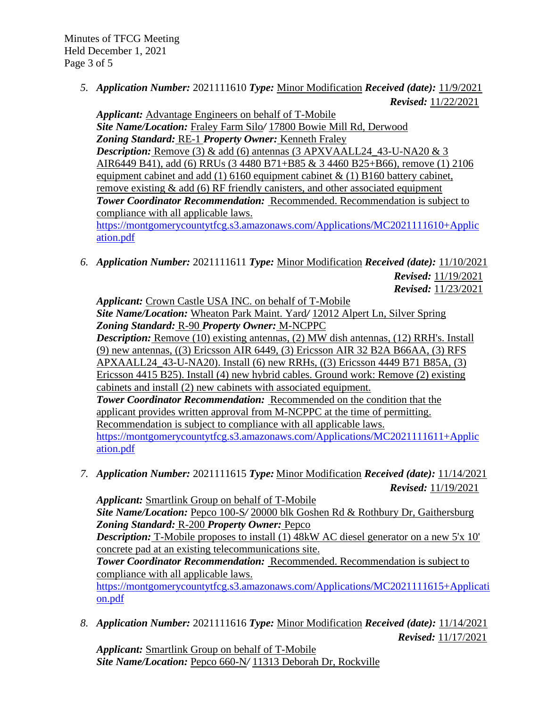*5. Application Number:* 2021111610 *Type:* Minor Modification *Received (date):* 11/9/2021 *Revised:* 11/22/2021

*Applicant:* Advantage Engineers on behalf of T-Mobile *Site Name/Location:* Fraley Farm Silo*/* 17800 Bowie Mill Rd, Derwood *Zoning Standard:* RE-1 *Property Owner:* Kenneth Fraley *Description:* Remove (3) & add (6) antennas (3 APXVAALL24\_43-U-NA20 & 3 AIR6449 B41), add (6) RRUs (3 4480 B71+B85 & 3 4460 B25+B66), remove (1) 2106 equipment cabinet and add (1) 6160 equipment cabinet  $\&$  (1) B160 battery cabinet, remove existing  $\&$  add (6) RF friendly canisters, and other associated equipment *Tower Coordinator Recommendation:* Recommended. Recommendation is subject to compliance with all applicable laws. [https://montgomerycountytfcg.s3.amazonaws.com/Applications/MC2021111610+Applic](https://montgomerycountytfcg.s3.amazonaws.com/Applications/MC2021111610+Application.pdf)

[ation.pdf](https://montgomerycountytfcg.s3.amazonaws.com/Applications/MC2021111610+Application.pdf)

*6. Application Number:* 2021111611 *Type:* Minor Modification *Received (date):* 11/10/2021 *Revised:* 11/19/2021

*Revised:* 11/23/2021

*Applicant:* Crown Castle USA INC. on behalf of T-Mobile *Site Name/Location:* Wheaton Park Maint. Yard*/* 12012 Alpert Ln, Silver Spring *Zoning Standard:* R-90 *Property Owner:* M-NCPPC *Description:* Remove (10) existing antennas, (2) MW dish antennas, (12) RRH's. Install (9) new antennas, ((3) Ericsson AIR 6449, (3) Ericsson AIR 32 B2A B66AA, (3) RFS APXAALL24\_43-U-NA20). Install (6) new RRHs, ((3) Ericsson 4449 B71 B85A, (3) Ericsson 4415 B25). Install (4) new hybrid cables. Ground work: Remove (2) existing cabinets and install (2) new cabinets with associated equipment. *Tower Coordinator Recommendation:* Recommended on the condition that the applicant provides written approval from M-NCPPC at the time of permitting. Recommendation is subject to compliance with all applicable laws. [https://montgomerycountytfcg.s3.amazonaws.com/Applications/MC2021111611+Applic](https://montgomerycountytfcg.s3.amazonaws.com/Applications/MC2021111611+Application.pdf) [ation.pdf](https://montgomerycountytfcg.s3.amazonaws.com/Applications/MC2021111611+Application.pdf)

*7. Application Number:* 2021111615 *Type:* Minor Modification *Received (date):* 11/14/2021 *Revised:* 11/19/2021

*Applicant:* Smartlink Group on behalf of T-Mobile *Site Name/Location:* Pepco 100-S*/* 20000 blk Goshen Rd & Rothbury Dr, Gaithersburg *Zoning Standard:* R-200 *Property Owner:* Pepco *Description:* T-Mobile proposes to install (1) 48kW AC diesel generator on a new 5'x 10' concrete pad at an existing telecommunications site. *Tower Coordinator Recommendation:* Recommended. Recommendation is subject to compliance with all applicable laws. [https://montgomerycountytfcg.s3.amazonaws.com/Applications/MC2021111615+Applicati](https://montgomerycountytfcg.s3.amazonaws.com/Applications/MC2021111615+Application.pdf) [on.pdf](https://montgomerycountytfcg.s3.amazonaws.com/Applications/MC2021111615+Application.pdf)

*8. Application Number:* 2021111616 *Type:* Minor Modification *Received (date):* 11/14/2021 *Revised:* 11/17/2021

*Applicant:* Smartlink Group on behalf of T-Mobile *Site Name/Location:* Pepco 660-N*/* 11313 Deborah Dr, Rockville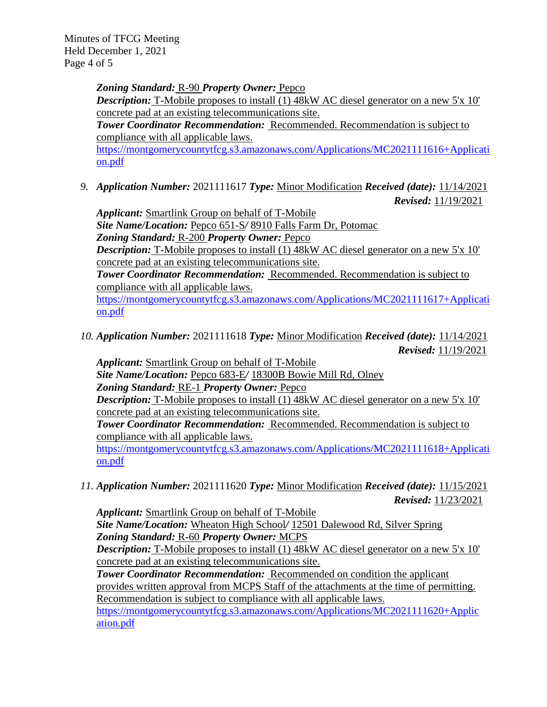Minutes of TFCG Meeting Held December 1, 2021 Page 4 of 5

> *Zoning Standard:* R-90 *Property Owner:* Pepco **Description:** T-Mobile proposes to install (1) 48kW AC diesel generator on a new 5'x 10' concrete pad at an existing telecommunications site. *Tower Coordinator Recommendation:* Recommended. Recommendation is subject to compliance with all applicable laws. [https://montgomerycountytfcg.s3.amazonaws.com/Applications/MC2021111616+Applicati](https://montgomerycountytfcg.s3.amazonaws.com/Applications/MC2021111616+Application.pdf)

[on.pdf](https://montgomerycountytfcg.s3.amazonaws.com/Applications/MC2021111616+Application.pdf)

*9. Application Number:* 2021111617 *Type:* Minor Modification *Received (date):* 11/14/2021 *Revised:* 11/19/2021

*Applicant:* Smartlink Group on behalf of T-Mobile *Site Name/Location:* Pepco 651-S*/* 8910 Falls Farm Dr, Potomac *Zoning Standard:* R-200 *Property Owner:* Pepco *Description:* T-Mobile proposes to install (1) 48kW AC diesel generator on a new 5'x 10' concrete pad at an existing telecommunications site.

*Tower Coordinator Recommendation:* Recommended. Recommendation is subject to compliance with all applicable laws.

[https://montgomerycountytfcg.s3.amazonaws.com/Applications/MC2021111617+Applicati](https://montgomerycountytfcg.s3.amazonaws.com/Applications/MC2021111617+Application.pdf) [on.pdf](https://montgomerycountytfcg.s3.amazonaws.com/Applications/MC2021111617+Application.pdf)

*10. Application Number:* 2021111618 *Type:* Minor Modification *Received (date):* 11/14/2021 *Revised:* 11/19/2021

*Applicant:* Smartlink Group on behalf of T-Mobile

*Site Name/Location:* Pepco 683-E*/* 18300B Bowie Mill Rd, Olney

*Zoning Standard:* RE-1 *Property Owner:* Pepco

*Description:* T-Mobile proposes to install (1) 48kW AC diesel generator on a new 5'x 10' concrete pad at an existing telecommunications site.

*Tower Coordinator Recommendation:* Recommended. Recommendation is subject to compliance with all applicable laws.

[https://montgomerycountytfcg.s3.amazonaws.com/Applications/MC2021111618+Applicati](https://montgomerycountytfcg.s3.amazonaws.com/Applications/MC2021111618+Application.pdf) [on.pdf](https://montgomerycountytfcg.s3.amazonaws.com/Applications/MC2021111618+Application.pdf)

*11. Application Number:* 2021111620 *Type:* Minor Modification *Received (date):* 11/15/2021 *Revised:* 11/23/2021

*Applicant:* Smartlink Group on behalf of T-Mobile *Site Name/Location:* Wheaton High School*/* 12501 Dalewood Rd, Silver Spring *Zoning Standard:* R-60 *Property Owner:* MCPS *Description:* T-Mobile proposes to install (1) 48kW AC diesel generator on a new 5'x 10' concrete pad at an existing telecommunications site.

*Tower Coordinator Recommendation:* Recommended on condition the applicant provides written approval from MCPS Staff of the attachments at the time of permitting. Recommendation is subject to compliance with all applicable laws.

[https://montgomerycountytfcg.s3.amazonaws.com/Applications/MC2021111620+Applic](https://montgomerycountytfcg.s3.amazonaws.com/Applications/MC2021111620+Application.pdf) [ation.pdf](https://montgomerycountytfcg.s3.amazonaws.com/Applications/MC2021111620+Application.pdf)